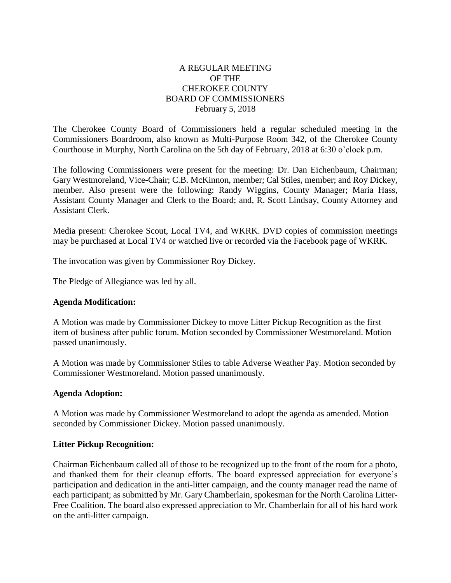## A REGULAR MEETING OF THE CHEROKEE COUNTY BOARD OF COMMISSIONERS February 5, 2018

The Cherokee County Board of Commissioners held a regular scheduled meeting in the Commissioners Boardroom, also known as Multi-Purpose Room 342, of the Cherokee County Courthouse in Murphy, North Carolina on the 5th day of February, 2018 at 6:30 o'clock p.m.

The following Commissioners were present for the meeting: Dr. Dan Eichenbaum, Chairman; Gary Westmoreland, Vice-Chair; C.B. McKinnon, member; Cal Stiles, member; and Roy Dickey, member. Also present were the following: Randy Wiggins, County Manager; Maria Hass, Assistant County Manager and Clerk to the Board; and, R. Scott Lindsay, County Attorney and Assistant Clerk.

Media present: Cherokee Scout, Local TV4, and WKRK. DVD copies of commission meetings may be purchased at Local TV4 or watched live or recorded via the Facebook page of WKRK.

The invocation was given by Commissioner Roy Dickey.

The Pledge of Allegiance was led by all.

#### **Agenda Modification:**

A Motion was made by Commissioner Dickey to move Litter Pickup Recognition as the first item of business after public forum. Motion seconded by Commissioner Westmoreland. Motion passed unanimously.

A Motion was made by Commissioner Stiles to table Adverse Weather Pay. Motion seconded by Commissioner Westmoreland. Motion passed unanimously.

#### **Agenda Adoption:**

A Motion was made by Commissioner Westmoreland to adopt the agenda as amended. Motion seconded by Commissioner Dickey. Motion passed unanimously.

#### **Litter Pickup Recognition:**

Chairman Eichenbaum called all of those to be recognized up to the front of the room for a photo, and thanked them for their cleanup efforts. The board expressed appreciation for everyone's participation and dedication in the anti-litter campaign, and the county manager read the name of each participant; as submitted by Mr. Gary Chamberlain, spokesman for the North Carolina Litter-Free Coalition. The board also expressed appreciation to Mr. Chamberlain for all of his hard work on the anti-litter campaign.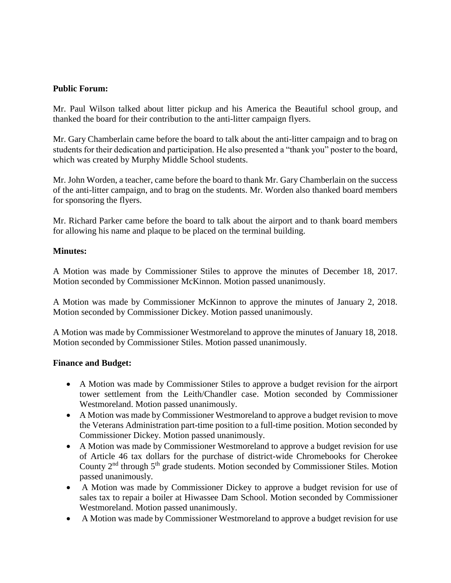### **Public Forum:**

Mr. Paul Wilson talked about litter pickup and his America the Beautiful school group, and thanked the board for their contribution to the anti-litter campaign flyers.

Mr. Gary Chamberlain came before the board to talk about the anti-litter campaign and to brag on students for their dedication and participation. He also presented a "thank you" poster to the board, which was created by Murphy Middle School students.

Mr. John Worden, a teacher, came before the board to thank Mr. Gary Chamberlain on the success of the anti-litter campaign, and to brag on the students. Mr. Worden also thanked board members for sponsoring the flyers.

Mr. Richard Parker came before the board to talk about the airport and to thank board members for allowing his name and plaque to be placed on the terminal building.

#### **Minutes:**

A Motion was made by Commissioner Stiles to approve the minutes of December 18, 2017. Motion seconded by Commissioner McKinnon. Motion passed unanimously.

A Motion was made by Commissioner McKinnon to approve the minutes of January 2, 2018. Motion seconded by Commissioner Dickey. Motion passed unanimously.

A Motion was made by Commissioner Westmoreland to approve the minutes of January 18, 2018. Motion seconded by Commissioner Stiles. Motion passed unanimously.

#### **Finance and Budget:**

- A Motion was made by Commissioner Stiles to approve a budget revision for the airport tower settlement from the Leith/Chandler case. Motion seconded by Commissioner Westmoreland. Motion passed unanimously.
- A Motion was made by Commissioner Westmoreland to approve a budget revision to move the Veterans Administration part-time position to a full-time position. Motion seconded by Commissioner Dickey. Motion passed unanimously.
- A Motion was made by Commissioner Westmoreland to approve a budget revision for use of Article 46 tax dollars for the purchase of district-wide Chromebooks for Cherokee County 2nd through 5th grade students. Motion seconded by Commissioner Stiles. Motion passed unanimously.
- A Motion was made by Commissioner Dickey to approve a budget revision for use of sales tax to repair a boiler at Hiwassee Dam School. Motion seconded by Commissioner Westmoreland. Motion passed unanimously.
- A Motion was made by Commissioner Westmoreland to approve a budget revision for use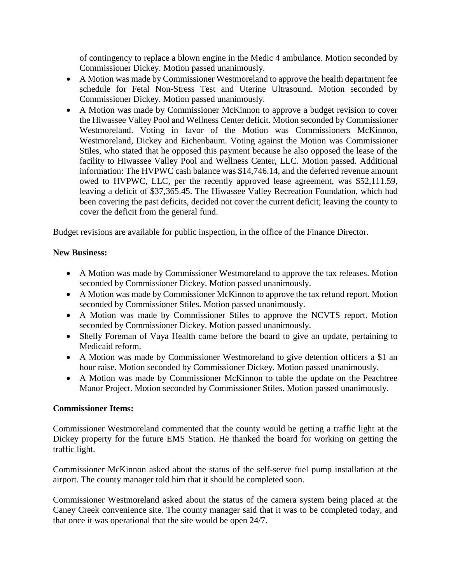of contingency to replace a blown engine in the Medic 4 ambulance. Motion seconded by Commissioner Dickey. Motion passed unanimously.

- A Motion was made by Commissioner Westmoreland to approve the health department fee schedule for Fetal Non-Stress Test and Uterine Ultrasound. Motion seconded by Commissioner Dickey. Motion passed unanimously.
- A Motion was made by Commissioner McKinnon to approve a budget revision to cover the Hiwassee Valley Pool and Wellness Center deficit. Motion seconded by Commissioner Westmoreland. Voting in favor of the Motion was Commissioners McKinnon, Westmoreland, Dickey and Eichenbaum. Voting against the Motion was Commissioner Stiles, who stated that he opposed this payment because he also opposed the lease of the facility to Hiwassee Valley Pool and Wellness Center, LLC. Motion passed. Additional information: The HVPWC cash balance was \$14,746.14, and the deferred revenue amount owed to HVPWC, LLC, per the recently approved lease agreement, was \$52,111.59, leaving a deficit of \$37,365.45. The Hiwassee Valley Recreation Foundation, which had been covering the past deficits, decided not cover the current deficit; leaving the county to cover the deficit from the general fund.

Budget revisions are available for public inspection, in the office of the Finance Director.

### **New Business:**

- A Motion was made by Commissioner Westmoreland to approve the tax releases. Motion seconded by Commissioner Dickey. Motion passed unanimously.
- A Motion was made by Commissioner McKinnon to approve the tax refund report. Motion seconded by Commissioner Stiles. Motion passed unanimously.
- A Motion was made by Commissioner Stiles to approve the NCVTS report. Motion seconded by Commissioner Dickey. Motion passed unanimously.
- Shelly Foreman of Vaya Health came before the board to give an update, pertaining to Medicaid reform.
- A Motion was made by Commissioner Westmoreland to give detention officers a \$1 an hour raise. Motion seconded by Commissioner Dickey. Motion passed unanimously.
- A Motion was made by Commissioner McKinnon to table the update on the Peachtree Manor Project. Motion seconded by Commissioner Stiles. Motion passed unanimously.

#### **Commissioner Items:**

Commissioner Westmoreland commented that the county would be getting a traffic light at the Dickey property for the future EMS Station. He thanked the board for working on getting the traffic light.

Commissioner McKinnon asked about the status of the self-serve fuel pump installation at the airport. The county manager told him that it should be completed soon.

Commissioner Westmoreland asked about the status of the camera system being placed at the Caney Creek convenience site. The county manager said that it was to be completed today, and that once it was operational that the site would be open 24/7.